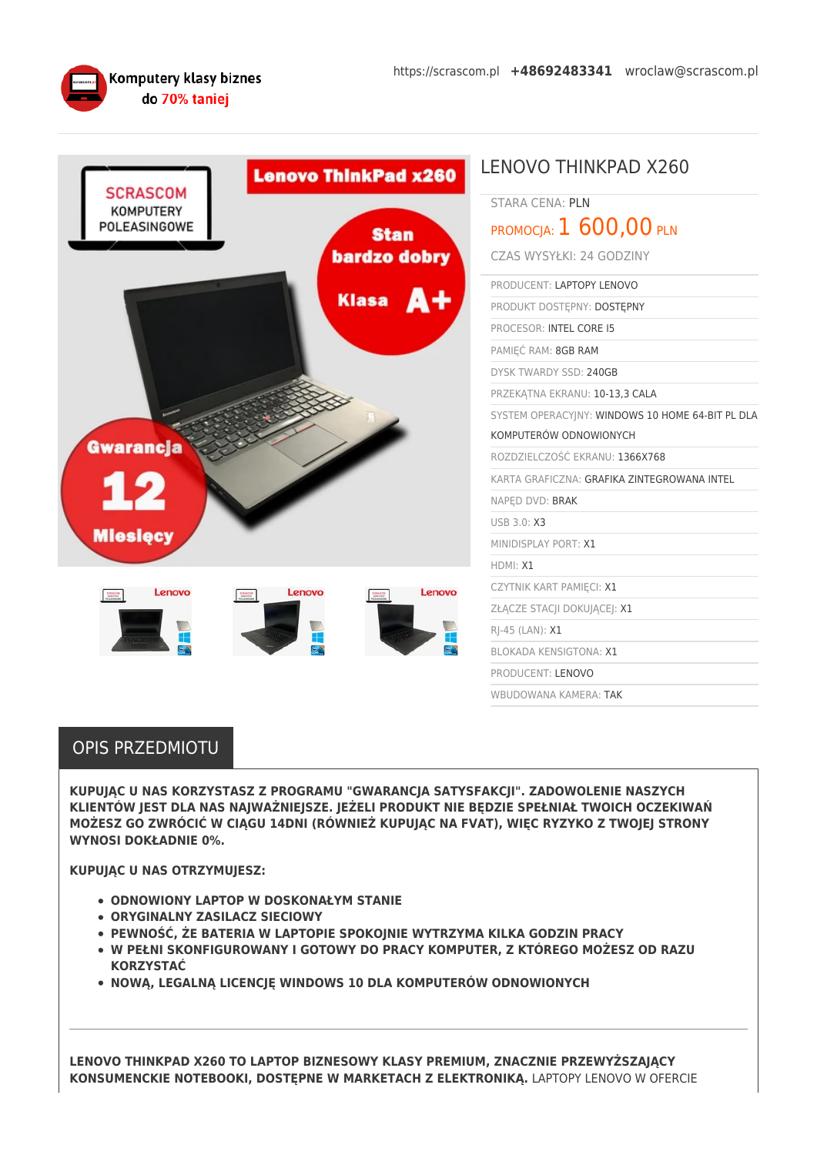

| <b>Lenovo ThinkPad x260</b><br><b>SCRASCOM</b>                               | <b>LENOVO THINKPAD X260</b>                      |
|------------------------------------------------------------------------------|--------------------------------------------------|
|                                                                              | <b>STARA CENA: PLN</b>                           |
| <b>KOMPUTERY</b><br>POLEASINGOWE                                             | PROMOCJA: $1600,00$ PLN<br><b>Stan</b>           |
| bardzo dobry<br>Klasa <b>A+</b><br><b>Gwarancja</b><br>12<br><b>Mieslęcy</b> | CZAS WYSYŁKI: 24 GODZINY                         |
|                                                                              | PRODUCENT: LAPTOPY LENOVO                        |
|                                                                              | PRODUKT DOSTĘPNY: DOSTĘPNY                       |
|                                                                              | PROCESOR: INTEL CORE I5                          |
|                                                                              | PAMIĘĆ RAM: 8GB RAM                              |
|                                                                              | DYSK TWARDY SSD: 240GB                           |
|                                                                              | PRZEKATNA EKRANU: 10-13,3 CALA                   |
|                                                                              | SYSTEM OPERACYJNY: WINDOWS 10 HOME 64-BIT PL DLA |
|                                                                              | KOMPUTERÓW ODNOWIONYCH                           |
|                                                                              | ROZDZIELCZOŚĆ EKRANU: 1366X768                   |
|                                                                              | KARTA GRAFICZNA: GRAFIKA ZINTEGROWANA INTEL      |
|                                                                              | NAPED DVD: BRAK                                  |
|                                                                              | USB 3.0: X3                                      |
|                                                                              | MINIDISPLAY PORT: X1                             |
|                                                                              | HDMI: X1                                         |
| Lenovo<br>Lenovo<br>Lenovo<br>SCRASCOW<br>KOMPVREH<br>SCRASCOW<br>KOMPVREY   | CZYTNIK KART PAMIĘCI: X1                         |
|                                                                              | ZŁĄCZE STACJI DOKUJĄCEJ: X1                      |
|                                                                              | RJ-45 (LAN): X1                                  |
|                                                                              | <b>BLOKADA KENSIGTONA: X1</b>                    |
|                                                                              | PRODUCENT: LENOVO                                |
|                                                                              | WBUDOWANA KAMERA: TAK                            |

## OPIS PRZEDMIOTU

**KUPUJĄC U NAS KORZYSTASZ Z PROGRAMU "GWARANCJA SATYSFAKCJI". ZADOWOLENIE NASZYCH KLIENTÓW JEST DLA NAS NAJWAŻNIEJSZE. JEŻELI PRODUKT NIE BĘDZIE SPEŁNIAŁ TWOICH OCZEKIWAŃ MOŻESZ GO ZWRÓCIĆ W CIĄGU 14DNI (RÓWNIEŻ KUPUJĄC NA FVAT), WIĘC RYZYKO Z TWOJEJ STRONY WYNOSI DOKŁADNIE 0%.**

**KUPUJĄC U NAS OTRZYMUJESZ:**

- **ODNOWIONY LAPTOP W DOSKONAŁYM STANIE**
- **ORYGINALNY ZASILACZ SIECIOWY**
- **PEWNOŚĆ, ŻE BATERIA W LAPTOPIE SPOKOJNIE WYTRZYMA KILKA GODZIN PRACY**
- **W PEŁNI SKONFIGUROWANY I GOTOWY DO PRACY KOMPUTER, Z KTÓREGO MOŻESZ OD RAZU KORZYSTAĆ**
- **NOWĄ, LEGALNĄ LICENCJĘ WINDOWS 10 DLA KOMPUTERÓW ODNOWIONYCH**

**LENOVO THINKPAD X260 TO LAPTOP BIZNESOWY KLASY PREMIUM, ZNACZNIE PRZEWYŻSZAJĄCY KONSUMENCKIE NOTEBOOKI, DOSTĘPNE W MARKETACH Z ELEKTRONIKĄ.** LAPTOPY LENOVO W OFERCIE